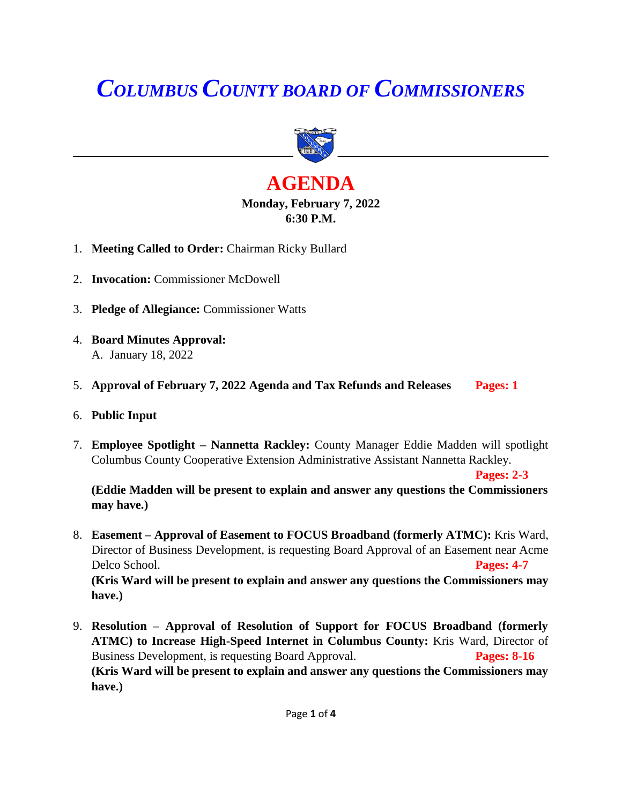# *COLUMBUS COUNTY BOARD OF COMMISSIONERS*



# **AGENDA Monday, February 7, 2022 6:30 P.M.**

- 1. **Meeting Called to Order:** Chairman Ricky Bullard
- 2. **Invocation:** Commissioner McDowell
- 3. **Pledge of Allegiance:** Commissioner Watts
- 4. **Board Minutes Approval:** A. January 18, 2022
- 5. **Approval of February 7, 2022 Agenda and Tax Refunds and Releases Pages: 1**
- 6. **Public Input**
- 7. **Employee Spotlight – Nannetta Rackley:** County Manager Eddie Madden will spotlight Columbus County Cooperative Extension Administrative Assistant Nannetta Rackley.

**Pages: 2-3**

**(Eddie Madden will be present to explain and answer any questions the Commissioners may have.)**

- 8. **Easement – Approval of Easement to FOCUS Broadband (formerly ATMC):** Kris Ward, Director of Business Development, is requesting Board Approval of an Easement near Acme Delco School. **Pages: 4-7 (Kris Ward will be present to explain and answer any questions the Commissioners may have.)**
- 9. **Resolution – Approval of Resolution of Support for FOCUS Broadband (formerly ATMC) to Increase High-Speed Internet in Columbus County:** Kris Ward, Director of Business Development, is requesting Board Approval. **Pages: 8-16 (Kris Ward will be present to explain and answer any questions the Commissioners may have.)**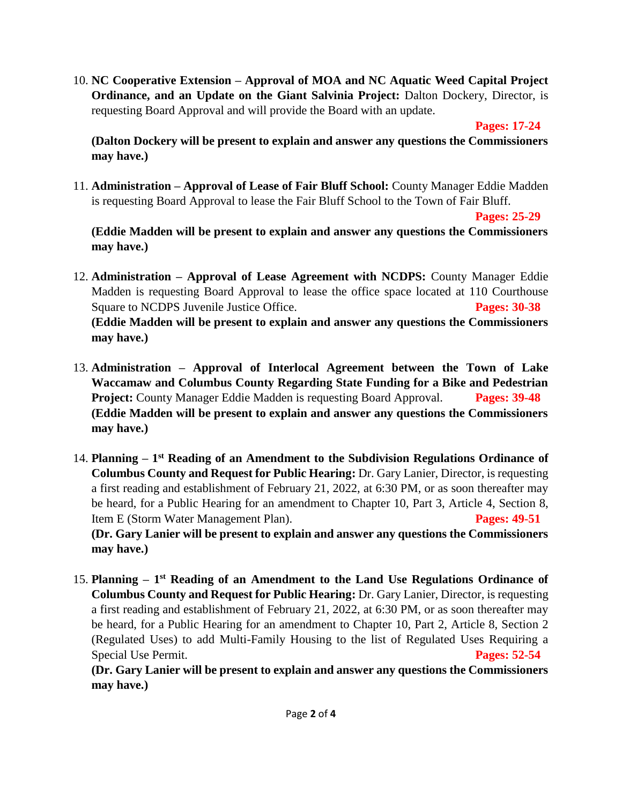10. **NC Cooperative Extension – Approval of MOA and NC Aquatic Weed Capital Project Ordinance, and an Update on the Giant Salvinia Project:** Dalton Dockery, Director, is requesting Board Approval and will provide the Board with an update.

**Pages: 17-24**

**(Dalton Dockery will be present to explain and answer any questions the Commissioners may have.)**

11. **Administration – Approval of Lease of Fair Bluff School:** County Manager Eddie Madden is requesting Board Approval to lease the Fair Bluff School to the Town of Fair Bluff.

**Pages: 25-29**

**(Eddie Madden will be present to explain and answer any questions the Commissioners may have.)**

- 12. **Administration – Approval of Lease Agreement with NCDPS:** County Manager Eddie Madden is requesting Board Approval to lease the office space located at 110 Courthouse Square to NCDPS Juvenile Justice Office. **Pages: 30-38 (Eddie Madden will be present to explain and answer any questions the Commissioners may have.)**
- 13. **Administration – Approval of Interlocal Agreement between the Town of Lake Waccamaw and Columbus County Regarding State Funding for a Bike and Pedestrian Project:** County Manager Eddie Madden is requesting Board Approval. **Pages: 39-48 (Eddie Madden will be present to explain and answer any questions the Commissioners may have.)**
- 14. Planning 1<sup>st</sup> Reading of an Amendment to the Subdivision Regulations Ordinance of **Columbus County and Request for Public Hearing:** Dr. Gary Lanier, Director, is requesting a first reading and establishment of February 21, 2022, at 6:30 PM, or as soon thereafter may be heard, for a Public Hearing for an amendment to Chapter 10, Part 3, Article 4, Section 8, Item E (Storm Water Management Plan). **Pages: 49-51**

**(Dr. Gary Lanier will be present to explain and answer any questions the Commissioners may have.)**

15. Planning – 1<sup>st</sup> Reading of an Amendment to the Land Use Regulations Ordinance of **Columbus County and Request for Public Hearing:** Dr. Gary Lanier, Director, is requesting a first reading and establishment of February 21, 2022, at 6:30 PM, or as soon thereafter may be heard, for a Public Hearing for an amendment to Chapter 10, Part 2, Article 8, Section 2 (Regulated Uses) to add Multi-Family Housing to the list of Regulated Uses Requiring a Special Use Permit. **Pages: 52-54**

**(Dr. Gary Lanier will be present to explain and answer any questions the Commissioners may have.)**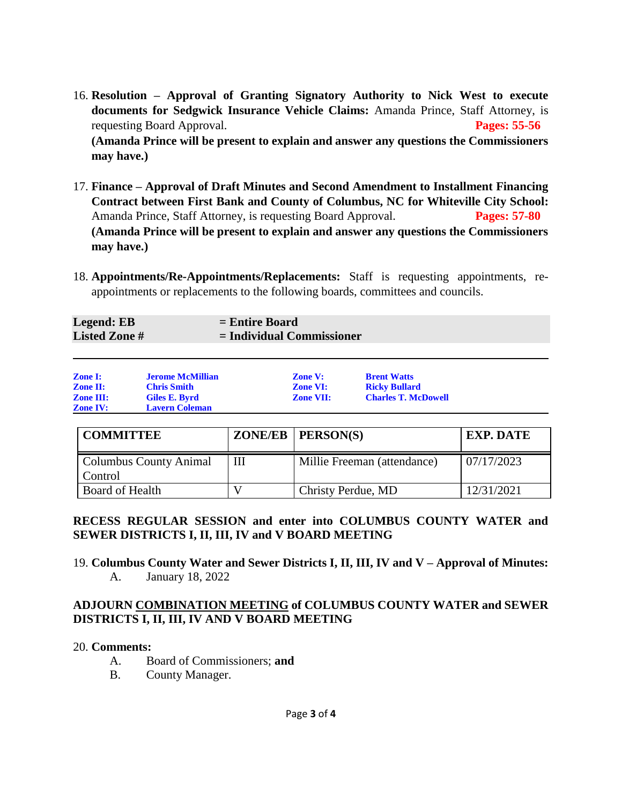- 16. **Resolution – Approval of Granting Signatory Authority to Nick West to execute documents for Sedgwick Insurance Vehicle Claims:** Amanda Prince, Staff Attorney, is requesting Board Approval. **Pages: 55-56 (Amanda Prince will be present to explain and answer any questions the Commissioners may have.)**
- 17. **Finance – Approval of Draft Minutes and Second Amendment to Installment Financing Contract between First Bank and County of Columbus, NC for Whiteville City School:**  Amanda Prince, Staff Attorney, is requesting Board Approval. **Pages: 57-80 (Amanda Prince will be present to explain and answer any questions the Commissioners may have.)**
- 18. **Appointments/Re-Appointments/Replacements:** Staff is requesting appointments, reappointments or replacements to the following boards, committees and councils.

| <b>Legend: EB</b>   | $=$ Entire Board            |
|---------------------|-----------------------------|
| <b>Listed Zone#</b> | $=$ Individual Commissioner |
|                     |                             |

| <b>Zone I:</b>   | <b>Jerome McMillian</b> | <b>Zone V:</b>   | <b>Brent Watts</b>         |
|------------------|-------------------------|------------------|----------------------------|
| <b>Zone II:</b>  | <b>Chris Smith</b>      | <b>Zone VI:</b>  | <b>Ricky Bullard</b>       |
| <b>Zone III:</b> | Giles E. Byrd           | <b>Zone VII:</b> | <b>Charles T. McDowell</b> |
| <b>Zone IV:</b>  | <b>Lavern Coleman</b>   |                  |                            |

| <b>COMMITTEE</b>                         | $ZONE/EB$   $PERSON(S)$     | <b>EXP. DATE</b> |
|------------------------------------------|-----------------------------|------------------|
| <b>Columbus County Animal</b><br>Control | Millie Freeman (attendance) | 07/17/2023       |
| Board of Health                          | Christy Perdue, MD          | 12/31/2021       |

#### **RECESS REGULAR SESSION and enter into COLUMBUS COUNTY WATER and SEWER DISTRICTS I, II, III, IV and V BOARD MEETING**

19. **Columbus County Water and Sewer Districts I, II, III, IV and V – Approval of Minutes:** A. January 18, 2022

## **ADJOURN COMBINATION MEETING of COLUMBUS COUNTY WATER and SEWER DISTRICTS I, II, III, IV AND V BOARD MEETING**

#### 20. **Comments:**

- A. Board of Commissioners; **and**
- B. County Manager.